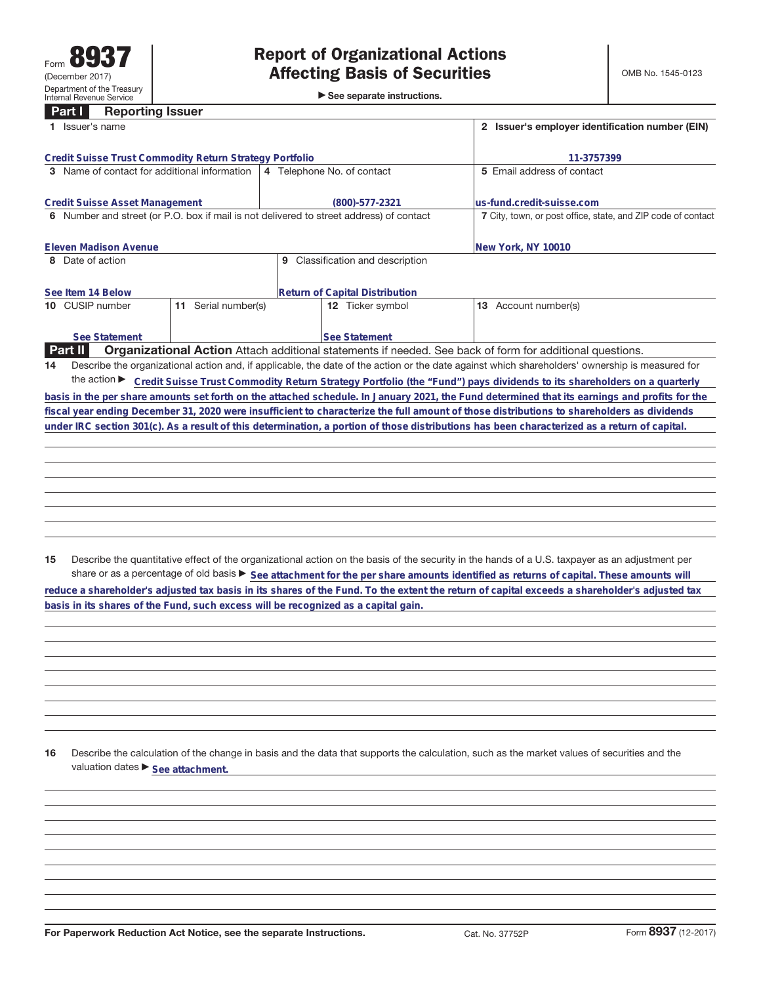**Part I Reporting Issuer**

|                                                                                         | Issuer's name                                           |                  |                                                                                                                                              |                            | 2 Issuer's employer identification number (EIN)                                                                                                 |
|-----------------------------------------------------------------------------------------|---------------------------------------------------------|------------------|----------------------------------------------------------------------------------------------------------------------------------------------|----------------------------|-------------------------------------------------------------------------------------------------------------------------------------------------|
|                                                                                         | Credit Suisse Trust Commodity Return Strategy Portfolio |                  |                                                                                                                                              |                            | 11-3757399                                                                                                                                      |
|                                                                                         | <b>3</b> Name of contact for additional information     |                  | 4 Telephone No. of contact                                                                                                                   |                            | 5 Email address of contact                                                                                                                      |
|                                                                                         | <b>Credit Suisse Asset Management</b>                   |                  | (800)-577-2321                                                                                                                               | lus-fund.credit-suisse.com |                                                                                                                                                 |
| 6 Number and street (or P.O. box if mail is not delivered to street address) of contact |                                                         |                  |                                                                                                                                              |                            | 7 City, town, or post office, state, and ZIP code of contact                                                                                    |
|                                                                                         | Eleven Madison Avenue                                   |                  |                                                                                                                                              | New York, NY 10010         |                                                                                                                                                 |
|                                                                                         | 8 Date of action                                        |                  | Classification and description<br>9                                                                                                          |                            |                                                                                                                                                 |
|                                                                                         | See Item 14 Below                                       |                  | <b>Return of Capital Distribution</b>                                                                                                        |                            |                                                                                                                                                 |
|                                                                                         | 10 CUSIP number<br>11                                   | Serial number(s) | <b>12</b> Ticker symbol                                                                                                                      | Account number(s)<br>13    |                                                                                                                                                 |
|                                                                                         | See Statement                                           |                  | See Statement                                                                                                                                |                            |                                                                                                                                                 |
|                                                                                         | <b>Part II</b>                                          |                  | Organizational Action Attach additional statements if needed. See back of form for additional questions.                                     |                            |                                                                                                                                                 |
| 14                                                                                      |                                                         |                  |                                                                                                                                              |                            | Describe the organizational action and, if applicable, the date of the action or the date against which shareholders' ownership is measured for |
|                                                                                         | the action $\blacktriangleright$                        |                  |                                                                                                                                              |                            | Credit Suisse Trust Commodity Return Strategy Portfolio (the "Fund") pays dividends to its shareholders on a quarterly                          |
|                                                                                         |                                                         |                  |                                                                                                                                              |                            | basis in the per share amounts set forth on the attached schedule. In January 2021, the Fund determined that its earnings and profits for the   |
|                                                                                         |                                                         |                  |                                                                                                                                              |                            | fiscal year ending December 31, 2020 were insufficient to characterize the full amount of those distributions to shareholders as dividends      |
|                                                                                         |                                                         |                  | under IRC section 301(c). As a result of this determination, a portion of those distributions has been characterized as a return of capital. |                            |                                                                                                                                                 |

**15** Describe the quantitative effect of the organizational action on the basis of the security in the hands of a U.S. taxpayer as an adjustment per share or as a percentage of old basis  $\blacktriangleright$  See attachment for the per share amounts identified as returns of capital. These amounts will **reduce a shareholder's adjusted tax basis in its shares of the Fund. To the extent the return of capital exceeds a shareholder's adjusted tax basis in its shares of the Fund, such excess will be recognized as a capital gain.**

**16** Describe the calculation of the change in basis and the data that supports the calculation, such as the market values of securities and the valuation dates  $\blacktriangleright$  **See attachment.** 

**For Paperwork Reduction Act Notice, see the separate Instructions.** Cat. No. 37752P Form 8937 (12-2017)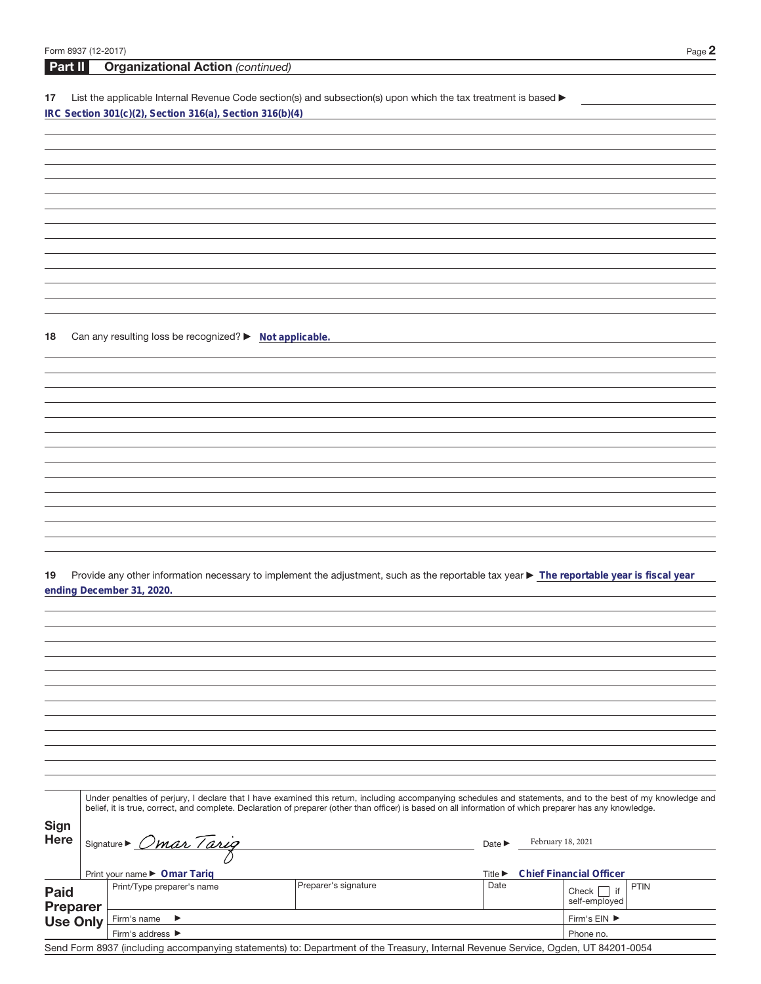**Part II Organizational Action** (continued)

17 List the applicable Internal Revenue Code section(s) and subsection(s) upon which the tax treatment is based **IRC Section 301(c)(2), Section 316(a), Section 316(b)(4)**

**18** Can any resulting loss be recognized? ▶ Not applicable.

19 Provide any other information necessary to implement the adjustment, such as the reportable tax year > The reportable year is fiscal year **ending December 31, 2020.**

|                         | Under penalties of perjury, I declare that I have examined this return, including accompanying schedules and statements, and to the best of my knowledge and<br>belief, it is true, correct, and complete. Declaration of preparer (other than officer) is based on all information of which preparer has any knowledge. |                      |                             |                   |                                    |             |  |
|-------------------------|--------------------------------------------------------------------------------------------------------------------------------------------------------------------------------------------------------------------------------------------------------------------------------------------------------------------------|----------------------|-----------------------------|-------------------|------------------------------------|-------------|--|
| Sign<br><b>Here</b>     | Signature Dmar Tarig                                                                                                                                                                                                                                                                                                     |                      |                             | February 18, 2021 |                                    |             |  |
|                         | Print your name ▶ Omar Tariq                                                                                                                                                                                                                                                                                             |                      | Title $\blacktriangleright$ |                   | <b>Chief Financial Officer</b>     |             |  |
| <b>Paid</b><br>Preparer | Print/Type preparer's name                                                                                                                                                                                                                                                                                               | Preparer's signature | Date                        |                   | if<br>Check<br>self-employed       | <b>PTIN</b> |  |
| <b>Use Only</b>         | Firm's name<br>▸                                                                                                                                                                                                                                                                                                         |                      |                             |                   | Firm's $EIN$ $\blacktriangleright$ |             |  |
|                         | Firm's address ▶                                                                                                                                                                                                                                                                                                         |                      |                             | Phone no.         |                                    |             |  |

Send Form 8937 (including accompanying statements) to: Department of the Treasury, Internal Revenue Service, Ogden, UT 84201-0054

 $\overline{\phantom{a}}$